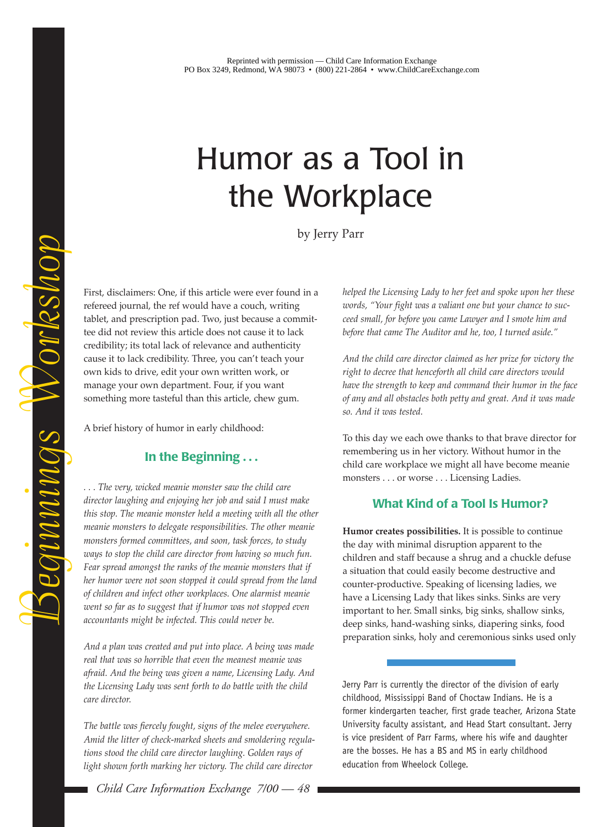## Humor as a Tool in the Workplace

by Jerry Parr

First, disclaimers: One, if this article were ever found in a refereed journal, the ref would have a couch, writing tablet, and prescription pad. Two, just because a committee did not review this article does not cause it to lack credibility; its total lack of relevance and authenticity cause it to lack credibility. Three, you can't teach your own kids to drive, edit your own written work, or manage your own department. Four, if you want something more tasteful than this article, chew gum.

A brief history of humor in early childhood:

Beginnings Workshop

Beginnings Workshop

## **In the Beginning . . .**

*. . . The very, wicked meanie monster saw the child care director laughing and enjoying her job and said I must make this stop. The meanie monster held a meeting with all the other meanie monsters to delegate responsibilities. The other meanie monsters formed committees, and soon, task forces, to study ways to stop the child care director from having so much fun. Fear spread amongst the ranks of the meanie monsters that if her humor were not soon stopped it could spread from the land of children and infect other workplaces. One alarmist meanie went so far as to suggest that if humor was not stopped even accountants might be infected. This could never be.*

*And a plan was created and put into place. A being was made real that was so horrible that even the meanest meanie was afraid. And the being was given a name, Licensing Lady. And the Licensing Lady was sent forth to do battle with the child care director.*

*The battle was fiercely fought, signs of the melee everywhere. Amid the litter of check-marked sheets and smoldering regulations stood the child care director laughing. Golden rays of light shown forth marking her victory. The child care director*

*Child Care Information Exchange 7/00 — 48*

*helped the Licensing Lady to her feet and spoke upon her these* words, "Your fight was a valiant one but your chance to suc*ceed small, for before you came Lawyer and I smote him and* before that came The Auditor and he, too, I turned aside."

*And the child care director claimed as her prize for victory the right to decree that henceforth all child care directors would have the strength to keep and command their humor in the face of any and all obstacles both petty and great. And it was made so. And it was tested.*

To this day we each owe thanks to that brave director for remembering us in her victory. Without humor in the child care workplace we might all have become meanie monsters . . . or worse . . . Licensing Ladies.

## **What Kind of a Tool Is Humor?**

**Humor creates possibilities.** It is possible to continue the day with minimal disruption apparent to the children and staff because a shrug and a chuckle defuse a situation that could easily become destructive and counter-productive. Speaking of licensing ladies, we have a Licensing Lady that likes sinks. Sinks are very important to her. Small sinks, big sinks, shallow sinks, deep sinks, hand-washing sinks, diapering sinks, food preparation sinks, holy and ceremonious sinks used only

Jerry Parr is currently the director of the division of early childhood, Mississippi Band of Choctaw Indians. He is a former kindergarten teacher, first grade teacher, Arizona State University faculty assistant, and Head Start consultant. Jerry is vice president of Parr Farms, where his wife and daughter are the bosses. He has a BS and MS in early childhood education from Wheelock College.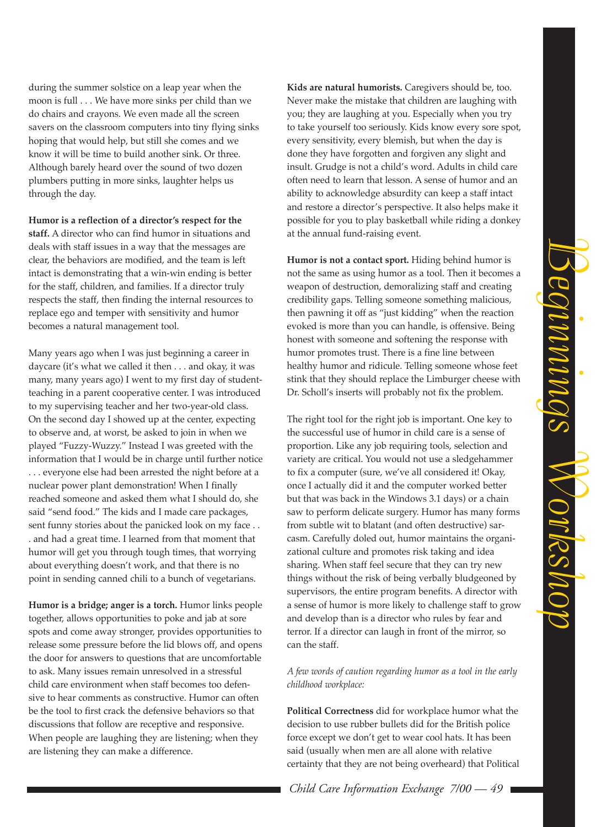Beginnings WorkshopMUNDAN VONRShop

during the summer solstice on a leap year when the moon is full . . . We have more sinks per child than we do chairs and crayons. We even made all the screen savers on the classroom computers into tiny flying sinks hoping that would help, but still she comes and we know it will be time to build another sink. Or three. Although barely heard over the sound of two dozen plumbers putting in more sinks, laughter helps us through the day.

Humor is a reflection of a director's respect for the **staff.** A director who can find humor in situations and deals with staff issues in a way that the messages are clear, the behaviors are modified, and the team is left intact is demonstrating that a win-win ending is better for the staff, children, and families. If a director truly respects the staff, then finding the internal resources to replace ego and temper with sensitivity and humor becomes a natural management tool.

Many years ago when I was just beginning a career in daycare (it's what we called it then  $\dots$  and okay, it was many, many years ago) I went to my first day of studentteaching in a parent cooperative center. I was introduced to my supervising teacher and her two-year-old class. On the second day I showed up at the center, expecting to observe and, at worst, be asked to join in when we played "Fuzzy-Wuzzy." Instead I was greeted with the information that I would be in charge until further notice . . . everyone else had been arrested the night before at a nuclear power plant demonstration! When I finally reached someone and asked them what I should do, she said "send food." The kids and I made care packages, sent funny stories about the panicked look on my face . . . and had a great time. I learned from that moment that humor will get you through tough times, that worrying about everything doesn't work, and that there is no point in sending canned chili to a bunch of vegetarians.

**Humor is a bridge; anger is a torch.** Humor links people together, allows opportunities to poke and jab at sore spots and come away stronger, provides opportunities to release some pressure before the lid blows off, and opens the door for answers to questions that are uncomfortable to ask. Many issues remain unresolved in a stressful child care environment when staff becomes too defensive to hear comments as constructive. Humor can often be the tool to first crack the defensive behaviors so that discussions that follow are receptive and responsive. When people are laughing they are listening; when they are listening they can make a difference.

**Kids are natural humorists.** Caregivers should be, too. Never make the mistake that children are laughing with you; they are laughing at you. Especially when you try to take yourself too seriously. Kids know every sore spot, every sensitivity, every blemish, but when the day is done they have forgotten and forgiven any slight and insult. Grudge is not a child's word. Adults in child care often need to learn that lesson. A sense of humor and an ability to acknowledge absurdity can keep a staff intact and restore a director's perspective. It also helps make it possible for you to play basketball while riding a donkey at the annual fund-raising event.

**Humor is not a contact sport.** Hiding behind humor is not the same as using humor as a tool. Then it becomes a weapon of destruction, demoralizing staff and creating credibility gaps. Telling someone something malicious, then pawning it off as "just kidding" when the reaction evoked is more than you can handle, is offensive. Being honest with someone and softening the response with humor promotes trust. There is a fine line between healthy humor and ridicule. Telling someone whose feet stink that they should replace the Limburger cheese with Dr. Scholl's inserts will probably not fix the problem.

The right tool for the right job is important. One key to the successful use of humor in child care is a sense of proportion. Like any job requiring tools, selection and variety are critical. You would not use a sledgehammer to fix a computer (sure, we've all considered it! Okay, once I actually did it and the computer worked better but that was back in the Windows 3.1 days) or a chain saw to perform delicate surgery. Humor has many forms from subtle wit to blatant (and often destructive) sarcasm. Carefully doled out, humor maintains the organizational culture and promotes risk taking and idea sharing. When staff feel secure that they can try new things without the risk of being verbally bludgeoned by supervisors, the entire program benefits. A director with a sense of humor is more likely to challenge staff to grow and develop than is a director who rules by fear and terror. If a director can laugh in front of the mirror, so can the staff.

## *A few words of caution regarding humor as a tool in the early childhood workplace:*

**Political Correctness** did for workplace humor what the decision to use rubber bullets did for the British police force except we don't get to wear cool hats. It has been said (usually when men are all alone with relative certainty that they are not being overheard) that Political